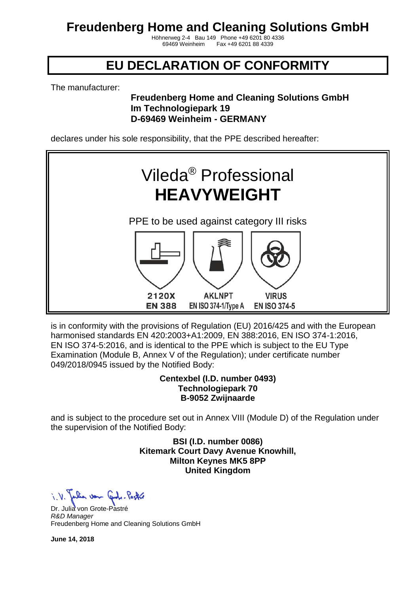Höhnerweg 2-4 Bau 149 Phone +49 6201 80 4336 Fax +49 6201 88 4339

### **EU DECLARATION OF CONFORMITY**

The manufacturer:

#### **Freudenberg Home and Cleaning Solutions GmbH Im Technologiepark 19 D-69469 Weinheim - GERMANY**

declares under his sole responsibility, that the PPE described hereafter:



is in conformity with the provisions of Regulation (EU) 2016/425 and with the European harmonised standards EN 420:2003+A1:2009, EN 388:2016, EN ISO 374-1:2016, EN ISO 374-5:2016, and is identical to the PPE which is subject to the EU Type Examination (Module B, Annex V of the Regulation); under certificate number 049/2018/0945 issued by the Notified Body:

#### **Centexbel (I.D. number 0493) Technologiepark 70 B-9052 Zwijnaarde**

and is subject to the procedure set out in Annex VIII (Module D) of the Regulation under the supervision of the Notified Body:

> **BSI (I.D. number 0086) Kitemark Court Davy Avenue Knowhill, Milton Keynes MK5 8PP United Kingdom**

Julian von Contra Pastro

Dr. Julia von Grote-Pastré *R&D Manager* Freudenberg Home and Cleaning Solutions GmbH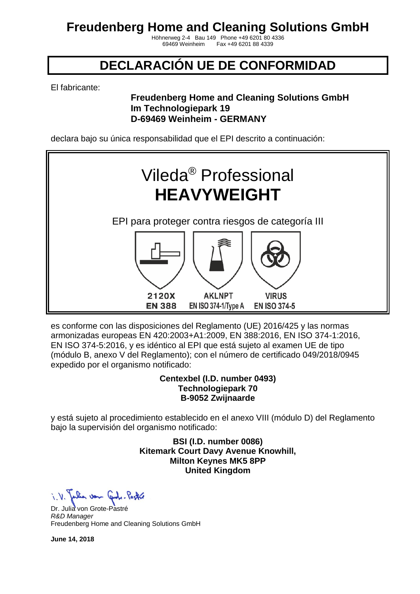Höhnerweg 2-4 Bau 149 Phone +49 6201 80 4336 Fax +49 6201 88 4339

### **DECLARACIÓN UE DE CONFORMIDAD**

El fabricante:

### **Freudenberg Home and Cleaning Solutions GmbH Im Technologiepark 19 D-69469 Weinheim - GERMANY**

declara bajo su única responsabilidad que el EPI descrito a continuación:



es conforme con las disposiciones del Reglamento (UE) 2016/425 y las normas armonizadas europeas EN 420:2003+A1:2009, EN 388:2016, EN ISO 374-1:2016, EN ISO 374-5:2016, y es idéntico al EPI que está sujeto al examen UE de tipo (módulo B, anexo V del Reglamento); con el número de certificado 049/2018/0945 expedido por el organismo notificado:

#### **Centexbel (I.D. number 0493) Technologiepark 70 B-9052 Zwijnaarde**

y está sujeto al procedimiento establecido en el anexo VIII (módulo D) del Reglamento bajo la supervisión del organismo notificado:

> **BSI (I.D. number 0086) Kitemark Court Davy Avenue Knowhill, Milton Keynes MK5 8PP United Kingdom**

when von Cont. Partie

Dr. Julia von Grote-Pastré *R&D Manager* Freudenberg Home and Cleaning Solutions GmbH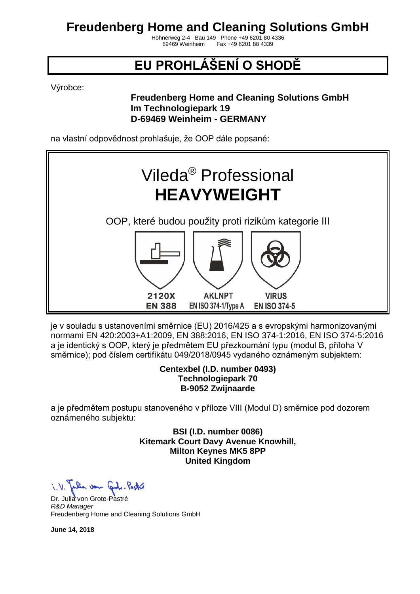Höhnerweg 2-4 Bau 149 Phone +49 6201 80 4336 Fax +49 6201 88 4339

# **EU PROHLÁŠENÍ O SHODĚ**

Výrobce:

### **Freudenberg Home and Cleaning Solutions GmbH Im Technologiepark 19 D-69469 Weinheim - GERMANY**

na vlastní odpovědnost prohlašuje, že OOP dále popsané:



je v souladu s ustanoveními směrnice (EU) 2016/425 a s evropskými harmonizovanými normami EN 420:2003+A1:2009, EN 388:2016, EN ISO 374-1:2016, EN ISO 374-5:2016 a je identický s OOP, který je předmětem EU přezkoumání typu (modul B, příloha V směrnice); pod číslem certifikátu 049/2018/0945 vydaného oznámeným subjektem:

#### **Centexbel (I.D. number 0493) Technologiepark 70 B-9052 Zwijnaarde**

a je předmětem postupu stanoveného v příloze VIII (Modul D) směrnice pod dozorem oznámeného subjektu:

> **BSI (I.D. number 0086) Kitemark Court Davy Avenue Knowhill, Milton Keynes MK5 8PP United Kingdom**

i. V. Julian von Grobe-Pastre

Dr. Julia von Grote-Pastré *R&D Manager* Freudenberg Home and Cleaning Solutions GmbH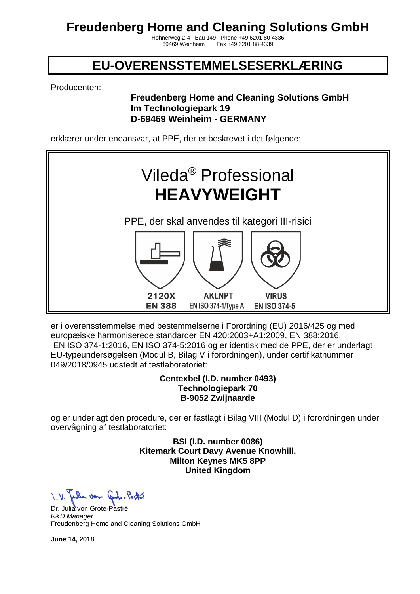Höhnerweg 2-4 Bau 149 Phone +49 6201 80 4336 Fax +49 6201 88 4339

### **EU-OVERENSSTEMMELSESERKLÆRING**

Producenten:

#### **Freudenberg Home and Cleaning Solutions GmbH Im Technologiepark 19 D-69469 Weinheim - GERMANY**

erklærer under eneansvar, at PPE, der er beskrevet i det følgende:



er i overensstemmelse med bestemmelserne i Forordning (EU) 2016/425 og med europæiske harmoniserede standarder EN 420:2003+A1:2009, EN 388:2016, EN ISO 374-1:2016, EN ISO 374-5:2016 og er identisk med de PPE, der er underlagt EU-typeundersøgelsen (Modul B, Bilag V i forordningen), under certifikatnummer 049/2018/0945 udstedt af testlaboratoriet:

#### **Centexbel (I.D. number 0493) Technologiepark 70 B-9052 Zwijnaarde**

og er underlagt den procedure, der er fastlagt i Bilag VIII (Modul D) i forordningen under overvågning af testlaboratoriet:

> **BSI (I.D. number 0086) Kitemark Court Davy Avenue Knowhill, Milton Keynes MK5 8PP United Kingdom**

Julian von Control Partie

Dr. Julia von Grote-Pastré *R&D Manager* Freudenberg Home and Cleaning Solutions GmbH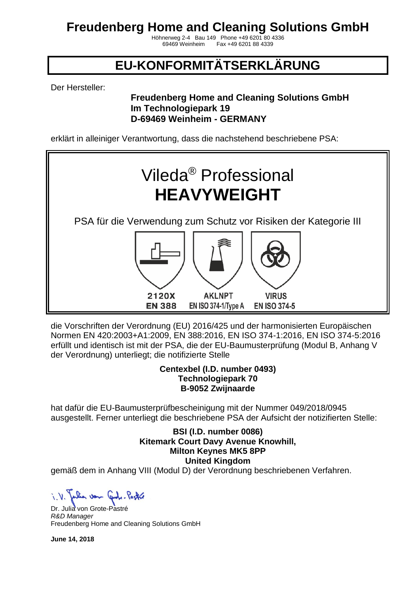Höhnerweg 2-4 Bau 149 Phone +49 6201 80 4336 Fax +49 6201 88 4339

# **EU-KONFORMITÄTSERKLÄRUNG**

Der Hersteller:

### **Freudenberg Home and Cleaning Solutions GmbH Im Technologiepark 19 D-69469 Weinheim - GERMANY**

erklärt in alleiniger Verantwortung, dass die nachstehend beschriebene PSA:



die Vorschriften der Verordnung (EU) 2016/425 und der harmonisierten Europäischen Normen EN 420:2003+A1:2009, EN 388:2016, EN ISO 374-1:2016, EN ISO 374-5:2016 erfüllt und identisch ist mit der PSA, die der EU-Baumusterprüfung (Modul B, Anhang V der Verordnung) unterliegt; die notifizierte Stelle

#### **Centexbel (I.D. number 0493) Technologiepark 70 B-9052 Zwijnaarde**

hat dafür die EU-Baumusterprüfbescheinigung mit der Nummer 049/2018/0945 ausgestellt. Ferner unterliegt die beschriebene PSA der Aufsicht der notizifierten Stelle:

> **BSI (I.D. number 0086) Kitemark Court Davy Avenue Knowhill, Milton Keynes MK5 8PP United Kingdom**

gemäß dem in Anhang VIII (Modul D) der Verordnung beschriebenen Verfahren.

when von Code-Pastol

Dr. Julia von Grote-Pastré *R&D Manager* Freudenberg Home and Cleaning Solutions GmbH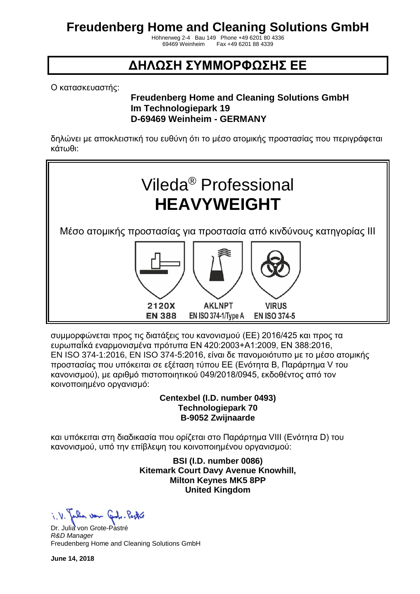Höhnerweg 2-4 Bau 149 Phone +49 6201 80 4336 Fax +49 6201 88 4339

### **ΔΗΛΩΣΗ ΣΥΜΜΟΡΦΩΣΗΣ ΕΕ**

Ο κατασκευαστής:

### **Freudenberg Home and Cleaning Solutions GmbH Im Technologiepark 19 D-69469 Weinheim - GERMANY**

δηλώνει με αποκλειστική του ευθύνη ότι το μέσο ατομικής προστασίας που περιγράφεται κάτωθι:



συμμορφώνεται προς τις διατάξεις του κανονισμού (ΕΕ) 2016/425 και προς τα ευρωπαΪκά εναρμονισμένα πρότυπα EN 420:2003+A1:2009, EN 388:2016, EN ISO 374-1:2016, EN ISO 374-5:2016, είναι δε πανομοιότυπο με το μέσο ατομικής προστασίας που υπόκειται σε εξέταση τύπου ΕΕ (Ενότητα Β, Παράρτημα V του κανονισμού), με αριθμό πιστοποιητικού 049/2018/0945, εκδοθέντος από τον κοινοποιημένο οργανισμό:

#### **Centexbel (I.D. number 0493) Technologiepark 70 B-9052 Zwijnaarde**

και υπόκειται στη διαδικασία που ορίζεται στο Παράρτημα VIII (Ενότητα D) του κανονισμού, υπό την επίβλεψη του κοινοποιημένου οργανισμού:

> **BSI (I.D. number 0086) Kitemark Court Davy Avenue Knowhill, Milton Keynes MK5 8PP United Kingdom**

i. V. Julian von Grobe-Pastre

Dr. Julia von Grote-Pastré *R&D Manager* Freudenberg Home and Cleaning Solutions GmbH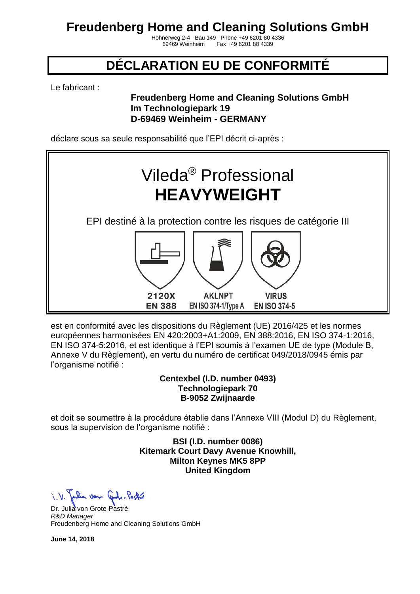Höhnerweg 2-4 Bau 149 Phone +49 6201 80 4336 Fax +49 6201 88 4339

## **DÉCLARATION EU DE CONFORMITÉ**

Le fabricant :

#### **Freudenberg Home and Cleaning Solutions GmbH Im Technologiepark 19 D-69469 Weinheim - GERMANY**

déclare sous sa seule responsabilité que l'EPI décrit ci-après :



est en conformité avec les dispositions du Règlement (UE) 2016/425 et les normes européennes harmonisées EN 420:2003+A1:2009, EN 388:2016, EN ISO 374-1:2016, EN ISO 374-5:2016, et est identique à l'EPI soumis à l'examen UE de type (Module B, Annexe V du Règlement), en vertu du numéro de certificat 049/2018/0945 émis par l'organisme notifié :

#### **Centexbel (I.D. number 0493) Technologiepark 70 B-9052 Zwijnaarde**

et doit se soumettre à la procédure établie dans l'Annexe VIII (Modul D) du Règlement, sous la supervision de l'organisme notifié :

> **BSI (I.D. number 0086) Kitemark Court Davy Avenue Knowhill, Milton Keynes MK5 8PP United Kingdom**

when von Cont. Partie

Dr. Julia von Grote-Pastré *R&D Manager* Freudenberg Home and Cleaning Solutions GmbH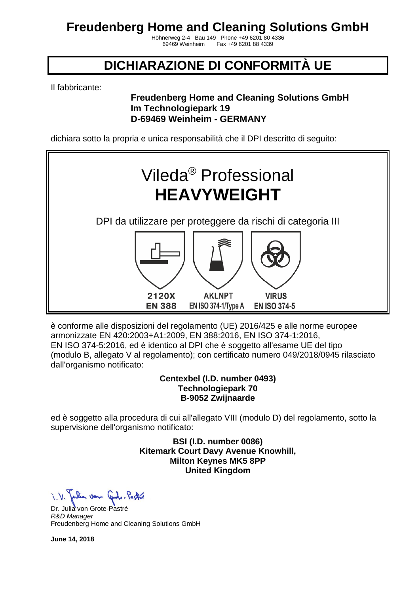Höhnerweg 2-4 Bau 149 Phone +49 6201 80 4336 Fax +49 6201 88 4339

### **DICHIARAZIONE DI CONFORMITÀ UE**

Il fabbricante:

### **Freudenberg Home and Cleaning Solutions GmbH Im Technologiepark 19 D-69469 Weinheim - GERMANY**

dichiara sotto la propria e unica responsabilità che il DPI descritto di seguito:



è conforme alle disposizioni del regolamento (UE) 2016/425 e alle norme europee armonizzate EN 420:2003+A1:2009, EN 388:2016, EN ISO 374-1:2016, EN ISO 374-5:2016, ed è identico al DPI che è soggetto all'esame UE del tipo (modulo B, allegato V al regolamento); con certificato numero 049/2018/0945 rilasciato dall'organismo notificato:

#### **Centexbel (I.D. number 0493) Technologiepark 70 B-9052 Zwijnaarde**

ed è soggetto alla procedura di cui all'allegato VIII (modulo D) del regolamento, sotto la supervisione dell'organismo notificato:

> **BSI (I.D. number 0086) Kitemark Court Davy Avenue Knowhill, Milton Keynes MK5 8PP United Kingdom**

a von Code-Pastol

Dr. Julia von Grote-Pastré *R&D Manager* Freudenberg Home and Cleaning Solutions GmbH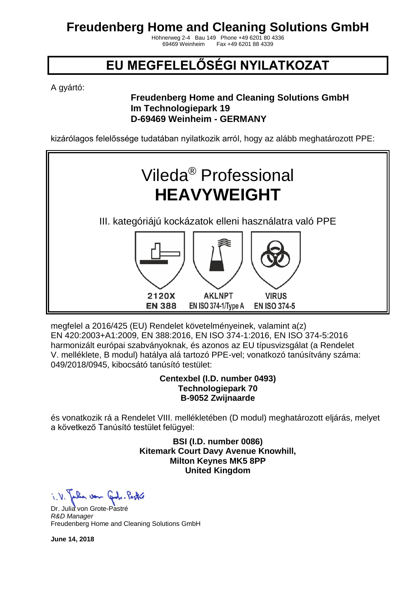Höhnerweg 2-4 Bau 149 Phone +49 6201 80 4336 Fax +49 6201 88 4339

## **EU MEGFELELŐSÉGI NYILATKOZAT**

A gyártó:

### **Freudenberg Home and Cleaning Solutions GmbH Im Technologiepark 19 D-69469 Weinheim - GERMANY**

kizárólagos felelőssége tudatában nyilatkozik arról, hogy az alább meghatározott PPE:



megfelel a 2016/425 (EU) Rendelet követelményeinek, valamint a(z) EN 420:2003+A1:2009, EN 388:2016, EN ISO 374-1:2016, EN ISO 374-5:2016 harmonizált európai szabványoknak, és azonos az EU típusvizsgálat (a Rendelet V. melléklete, B modul) hatálya alá tartozó PPE-vel; vonatkozó tanúsítvány száma: 049/2018/0945, kibocsátó tanúsító testület:

#### **Centexbel (I.D. number 0493) Technologiepark 70 B-9052 Zwijnaarde**

és vonatkozik rá a Rendelet VIII. mellékletében (D modul) meghatározott eljárás, melyet a következő Tanúsító testület felügyel:

> **BSI (I.D. number 0086) Kitemark Court Davy Avenue Knowhill, Milton Keynes MK5 8PP United Kingdom**

Julian von Control Partie

Dr. Julia von Grote-Pastré *R&D Manager* Freudenberg Home and Cleaning Solutions GmbH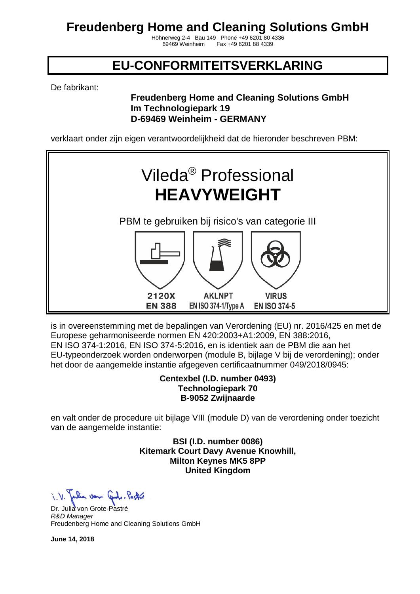Höhnerweg 2-4 Bau 149 Phone +49 6201 80 4336 Fax +49 6201 88 4339

### **EU-CONFORMITEITSVERKLARING**

De fabrikant:

#### **Freudenberg Home and Cleaning Solutions GmbH Im Technologiepark 19 D-69469 Weinheim - GERMANY**

verklaart onder zijn eigen verantwoordelijkheid dat de hieronder beschreven PBM:



is in overeenstemming met de bepalingen van Verordening (EU) nr. 2016/425 en met de Europese geharmoniseerde normen EN 420:2003+A1:2009, EN 388:2016, EN ISO 374-1:2016, EN ISO 374-5:2016, en is identiek aan de PBM die aan het EU-typeonderzoek worden onderworpen (module B, bijlage V bij de verordening); onder het door de aangemelde instantie afgegeven certificaatnummer 049/2018/0945:

#### **Centexbel (I.D. number 0493) Technologiepark 70 B-9052 Zwijnaarde**

en valt onder de procedure uit bijlage VIII (module D) van de verordening onder toezicht van de aangemelde instantie:

> **BSI (I.D. number 0086) Kitemark Court Davy Avenue Knowhill, Milton Keynes MK5 8PP United Kingdom**

Julian von Control Partie

Dr. Julia von Grote-Pastré *R&D Manager* Freudenberg Home and Cleaning Solutions GmbH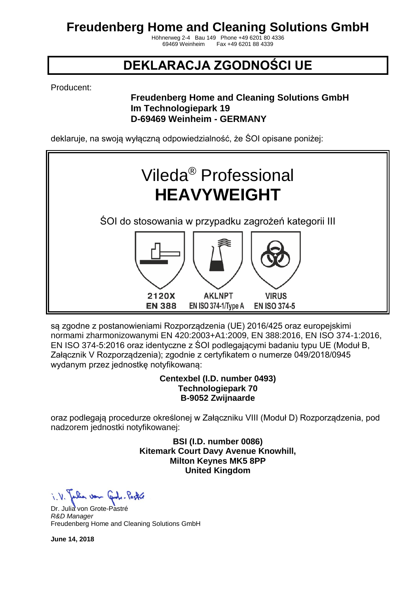Höhnerweg 2-4 Bau 149 Phone +49 6201 80 4336 Fax +49 6201 88 4339

## **DEKLARACJA ZGODNOŚCI UE**

Producent:

### **Freudenberg Home and Cleaning Solutions GmbH Im Technologiepark 19 D-69469 Weinheim - GERMANY**

deklaruje, na swoją wyłączną odpowiedzialność, że ŚOI opisane poniżej:



są zgodne z postanowieniami Rozporządzenia (UE) 2016/425 oraz europejskimi normami zharmonizowanymi EN 420:2003+A1:2009, EN 388:2016, EN ISO 374-1:2016, EN ISO 374-5:2016 oraz identyczne z ŚOI podlegającymi badaniu typu UE (Moduł B, Załącznik V Rozporządzenia); zgodnie z certyfikatem o numerze 049/2018/0945 wydanym przez jednostkę notyfikowaną:

#### **Centexbel (I.D. number 0493) Technologiepark 70 B-9052 Zwijnaarde**

oraz podlegają procedurze określonej w Załączniku VIII (Moduł D) Rozporządzenia, pod nadzorem jednostki notyfikowanej:

> **BSI (I.D. number 0086) Kitemark Court Davy Avenue Knowhill, Milton Keynes MK5 8PP United Kingdom**

Julian von Control Partie

Dr. Julia von Grote-Pastré *R&D Manager* Freudenberg Home and Cleaning Solutions GmbH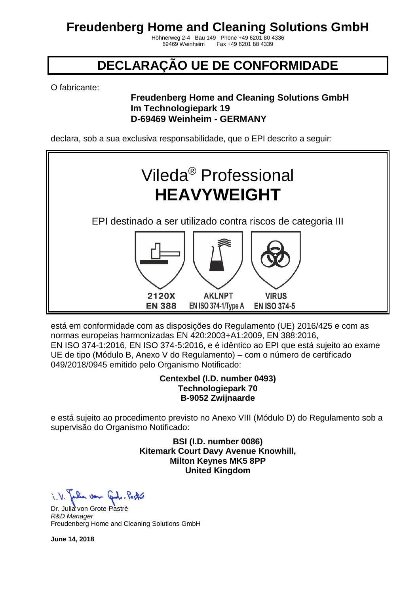Höhnerweg 2-4 Bau 149 Phone +49 6201 80 4336 Fax +49 6201 88 4339

## **DECLARAÇÃO UE DE CONFORMIDADE**

O fabricante:

### **Freudenberg Home and Cleaning Solutions GmbH Im Technologiepark 19 D-69469 Weinheim - GERMANY**

declara, sob a sua exclusiva responsabilidade, que o EPI descrito a seguir:



está em conformidade com as disposições do Regulamento (UE) 2016/425 e com as normas europeias harmonizadas EN 420:2003+A1:2009, EN 388:2016, EN ISO 374-1:2016, EN ISO 374-5:2016, e é idêntico ao EPI que está sujeito ao exame UE de tipo (Módulo B, Anexo V do Regulamento) – com o número de certificado 049/2018/0945 emitido pelo Organismo Notificado:

#### **Centexbel (I.D. number 0493) Technologiepark 70 B-9052 Zwijnaarde**

e está sujeito ao procedimento previsto no Anexo VIII (Módulo D) do Regulamento sob a supervisão do Organismo Notificado:

> **BSI (I.D. number 0086) Kitemark Court Davy Avenue Knowhill, Milton Keynes MK5 8PP United Kingdom**

when von Cont. Partie

Dr. Julia von Grote-Pastré *R&D Manager* Freudenberg Home and Cleaning Solutions GmbH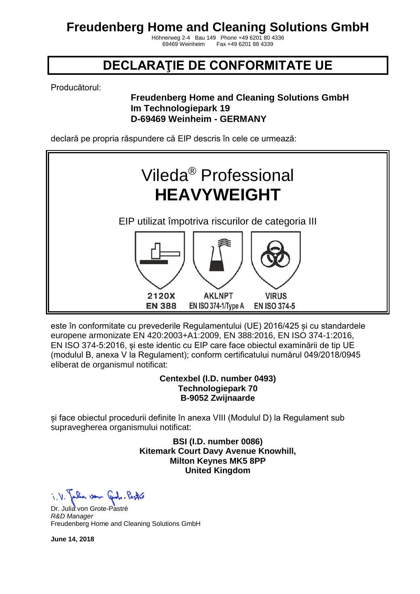Höhnerweg 2-4 Bau 149 Phone +49 6201 80 4336 Fax +49 6201 88 4339

### **DECLARAŢIE DE CONFORMITATE UE**

Producătorul:

### **Freudenberg Home and Cleaning Solutions GmbH Im Technologiepark 19 D-69469 Weinheim - GERMANY**

declară pe propria răspundere că EIP descris în cele ce urmează:



este în conformitate cu prevederile Regulamentului (UE) 2016/425 și cu standardele europene armonizate EN 420:2003+A1:2009, EN 388:2016, EN ISO 374-1:2016, EN ISO 374-5:2016, și este identic cu EIP care face obiectul examinării de tip UE (modulul B, anexa V la Regulament); conform certificatului numărul 049/2018/0945 eliberat de organismul notificat:

#### **Centexbel (I.D. number 0493) Technologiepark 70 B-9052 Zwijnaarde**

și face obiectul procedurii definite în anexa VIII (Modulul D) la Regulament sub supravegherea organismului notificat:

> **BSI (I.D. number 0086) Kitemark Court Davy Avenue Knowhill, Milton Keynes MK5 8PP United Kingdom**

Julian von Control Partie

Dr. Julia von Grote-Pastré *R&D Manager* Freudenberg Home and Cleaning Solutions GmbH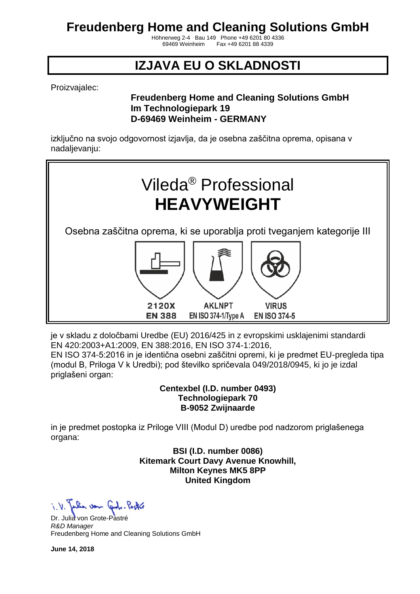Höhnerweg 2-4 Bau 149 Phone +49 6201 80 4336 Fax +49 6201 88 4339

## **IZJAVA EU O SKLADNOSTI**

Proizvajalec:

#### **Freudenberg Home and Cleaning Solutions GmbH Im Technologiepark 19 D-69469 Weinheim - GERMANY**

izključno na svojo odgovornost izjavlja, da je osebna zaščitna oprema, opisana v nadaljevanju:



je v skladu z določbami Uredbe (EU) 2016/425 in z evropskimi usklajenimi standardi EN 420:2003+A1:2009, EN 388:2016, EN ISO 374-1:2016, EN ISO 374-5:2016 in je identična osebni zaščitni opremi, ki je predmet EU-pregleda tipa

(modul B, Priloga V k Uredbi); pod številko spričevala 049/2018/0945, ki jo je izdal priglašeni organ:

> **Centexbel (I.D. number 0493) Technologiepark 70 B-9052 Zwijnaarde**

in je predmet postopka iz Priloge VIII (Modul D) uredbe pod nadzorom priglašenega organa:

> **BSI (I.D. number 0086) Kitemark Court Davy Avenue Knowhill, Milton Keynes MK5 8PP United Kingdom**

a von 6.

Dr. Julia von Grote-Pastré *R&D Manager* Freudenberg Home and Cleaning Solutions GmbH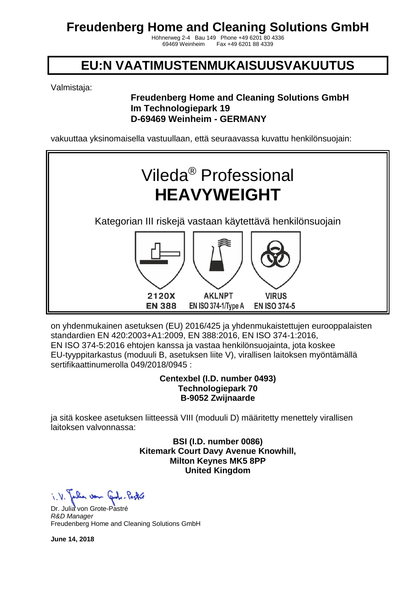Höhnerweg 2-4 Bau 149 Phone +49 6201 80 4336 Fax +49 6201 88 4339

### **EU:N VAATIMUSTENMUKAISUUSVAKUUTUS**

Valmistaja:

### **Freudenberg Home and Cleaning Solutions GmbH Im Technologiepark 19 D-69469 Weinheim - GERMANY**

vakuuttaa yksinomaisella vastuullaan, että seuraavassa kuvattu henkilönsuojain:



on yhdenmukainen asetuksen (EU) 2016/425 ja yhdenmukaistettujen eurooppalaisten standardien EN 420:2003+A1:2009, EN 388:2016, EN ISO 374-1:2016, EN ISO 374-5:2016 ehtojen kanssa ja vastaa henkilönsuojainta, jota koskee EU-tyyppitarkastus (moduuli B, asetuksen liite V), virallisen laitoksen myöntämällä sertifikaattinumerolla 049/2018/0945 :

#### **Centexbel (I.D. number 0493) Technologiepark 70 B-9052 Zwijnaarde**

ja sitä koskee asetuksen liitteessä VIII (moduuli D) määritetty menettely virallisen laitoksen valvonnassa:

> **BSI (I.D. number 0086) Kitemark Court Davy Avenue Knowhill, Milton Keynes MK5 8PP United Kingdom**

Julia von Grobe-Pastre

Dr. Julia von Grote-Pastré *R&D Manager* Freudenberg Home and Cleaning Solutions GmbH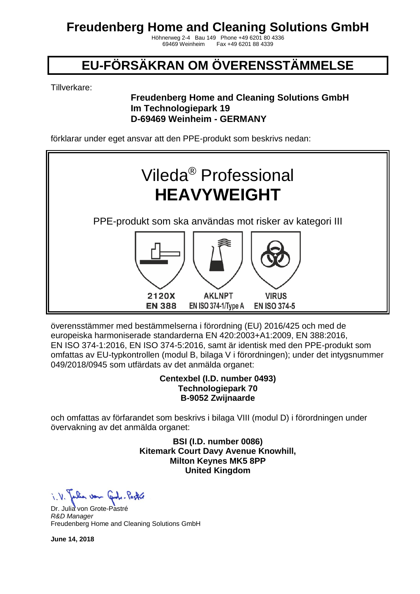Höhnerweg 2-4 Bau 149 Phone +49 6201 80 4336 Fax +49 6201 88 4339

# **EU-FÖRSÄKRAN OM ÖVERENSSTÄMMELSE**

Tillverkare:

### **Freudenberg Home and Cleaning Solutions GmbH Im Technologiepark 19 D-69469 Weinheim - GERMANY**

förklarar under eget ansvar att den PPE-produkt som beskrivs nedan:



överensstämmer med bestämmelserna i förordning (EU) 2016/425 och med de europeiska harmoniserade standarderna EN 420:2003+A1:2009, EN 388:2016, EN ISO 374-1:2016, EN ISO 374-5:2016, samt är identisk med den PPE-produkt som omfattas av EU-typkontrollen (modul B, bilaga V i förordningen); under det intygsnummer 049/2018/0945 som utfärdats av det anmälda organet:

#### **Centexbel (I.D. number 0493) Technologiepark 70 B-9052 Zwijnaarde**

och omfattas av förfarandet som beskrivs i bilaga VIII (modul D) i förordningen under övervakning av det anmälda organet:

> **BSI (I.D. number 0086) Kitemark Court Davy Avenue Knowhill, Milton Keynes MK5 8PP United Kingdom**

Julian von Control Partie

Dr. Julia von Grote-Pastré *R&D Manager* Freudenberg Home and Cleaning Solutions GmbH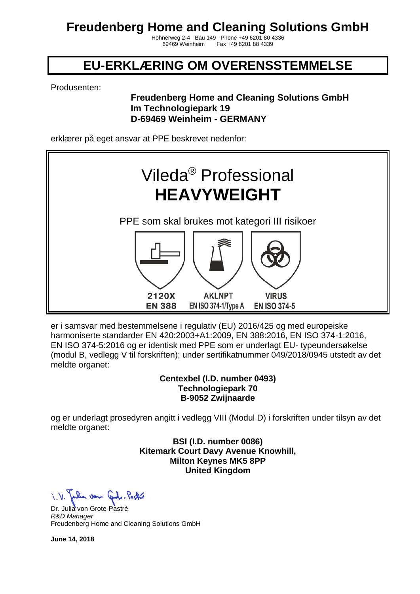Höhnerweg 2-4 Bau 149 Phone +49 6201 80 4336 Fax +49 6201 88 4339

### **EU-ERKLÆRING OM OVERENSSTEMMELSE**

Produsenten:

#### **Freudenberg Home and Cleaning Solutions GmbH Im Technologiepark 19 D-69469 Weinheim - GERMANY**

erklærer på eget ansvar at PPE beskrevet nedenfor:



er i samsvar med bestemmelsene i regulativ (EU) 2016/425 og med europeiske harmoniserte standarder EN 420:2003+A1:2009, EN 388:2016, EN ISO 374-1:2016, EN ISO 374-5:2016 og er identisk med PPE som er underlagt EU- typeundersøkelse (modul B, vedlegg V til forskriften); under sertifikatnummer 049/2018/0945 utstedt av det meldte organet:

#### **Centexbel (I.D. number 0493) Technologiepark 70 B-9052 Zwijnaarde**

og er underlagt prosedyren angitt i vedlegg VIII (Modul D) i forskriften under tilsyn av det meldte organet:

> **BSI (I.D. number 0086) Kitemark Court Davy Avenue Knowhill, Milton Keynes MK5 8PP United Kingdom**

Julian von Control Partie

Dr. Julia von Grote-Pastré *R&D Manager* Freudenberg Home and Cleaning Solutions GmbH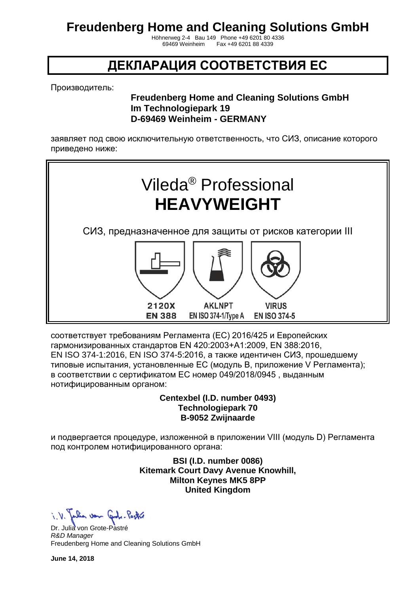Höhnerweg 2-4 Bau 149 Phone +49 6201 80 4336 Fax +49 6201 88 4339

### **ДЕКЛАРАЦИЯ СООТВЕТСТВИЯ ЕС**

Производитель:

#### **Freudenberg Home and Cleaning Solutions GmbH Im Technologiepark 19 D-69469 Weinheim - GERMANY**

заявляет под свою исключительную ответственность, что СИЗ, описание которого приведено ниже:



соответствует требованиям Регламента (ЕС) 2016/425 и Европейских гармонизированных стандартов EN 420:2003+A1:2009, EN 388:2016, EN ISO 374-1:2016, EN ISO 374-5:2016, а также идентичен СИЗ, прошедшему типовые испытания, установленные ЕС (модуль B, приложение V Регламента); в соответствии с сертификатом ЕС номер 049/2018/0945 , выданным нотифицированным органом:

> **Centexbel (I.D. number 0493) Technologiepark 70 B-9052 Zwijnaarde**

и подвергается процедуре, изложенной в приложении VIII (модуль D) Регламента под контролем нотифицированного органа:

> **BSI (I.D. number 0086) Kitemark Court Davy Avenue Knowhill, Milton Keynes MK5 8PP United Kingdom**

i. V. Julian von Grobe-Pastre

Dr. Julia von Grote-Pastré *R&D Manager* Freudenberg Home and Cleaning Solutions GmbH